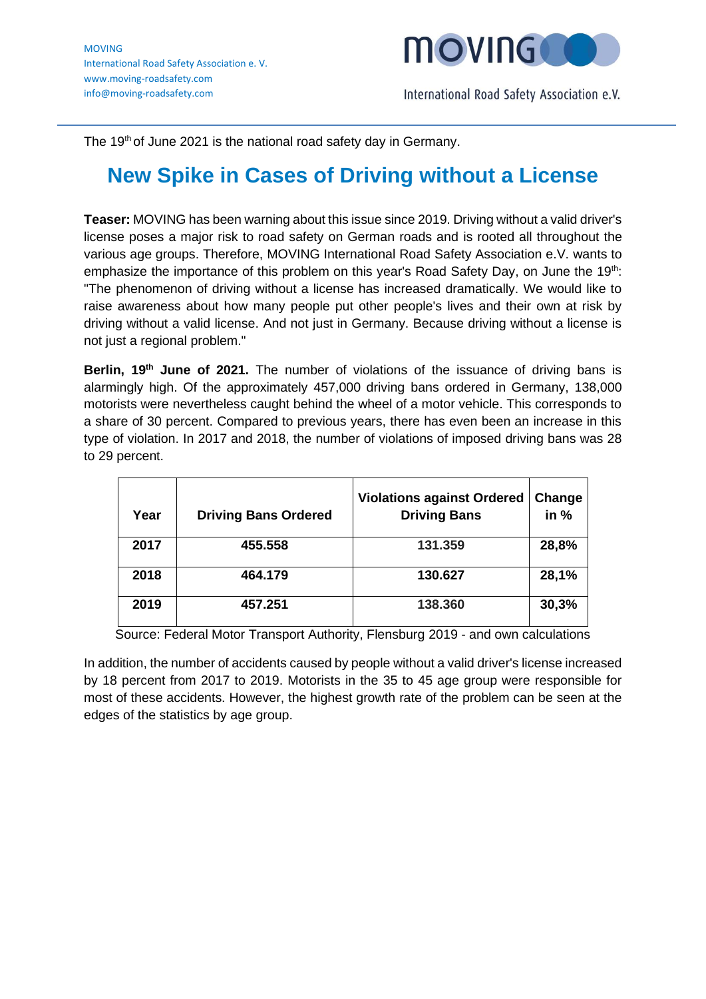

The 19<sup>th</sup> of June 2021 is the national road safety day in Germany.

## **New Spike in Cases of Driving without a License**

**Teaser:** MOVING has been warning about this issue since 2019. Driving without a valid driver's license poses a major risk to road safety on German roads and is rooted all throughout the various age groups. Therefore, MOVING International Road Safety Association e.V. wants to emphasize the importance of this problem on this year's Road Safety Day, on June the 19th: "The phenomenon of driving without a license has increased dramatically. We would like to raise awareness about how many people put other people's lives and their own at risk by driving without a valid license. And not just in Germany. Because driving without a license is not just a regional problem."

**Berlin, 19th June of 2021.** The number of violations of the issuance of driving bans is alarmingly high. Of the approximately 457,000 driving bans ordered in Germany, 138,000 motorists were nevertheless caught behind the wheel of a motor vehicle. This corresponds to a share of 30 percent. Compared to previous years, there has even been an increase in this type of violation. In 2017 and 2018, the number of violations of imposed driving bans was 28 to 29 percent.

| Year | <b>Driving Bans Ordered</b> | <b>Violations against Ordered</b><br><b>Driving Bans</b> | Change<br>in $%$ |
|------|-----------------------------|----------------------------------------------------------|------------------|
| 2017 | 455.558                     | 131.359                                                  | 28,8%            |
| 2018 | 464.179                     | 130.627                                                  | 28,1%            |
| 2019 | 457.251                     | 138.360                                                  | 30,3%            |

Source: Federal Motor Transport Authority, Flensburg 2019 - and own calculations

In addition, the number of accidents caused by people without a valid driver's license increased by 18 percent from 2017 to 2019. Motorists in the 35 to 45 age group were responsible for most of these accidents. However, the highest growth rate of the problem can be seen at the edges of the statistics by age group.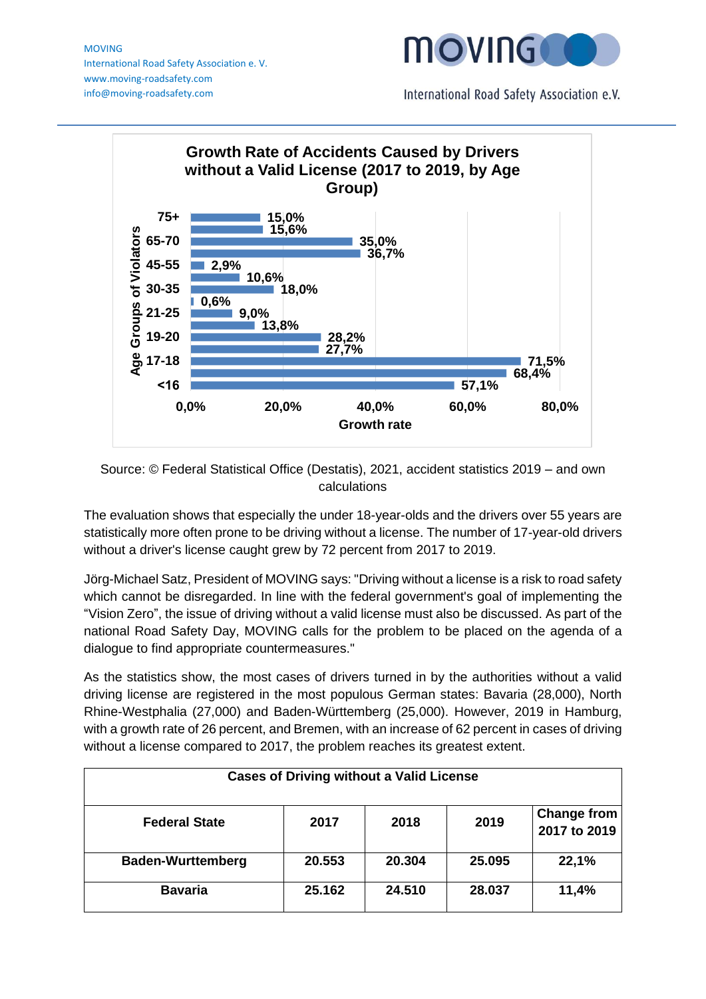MOVING International Road Safety Association e. V. www.moving-roadsafety.com info@moving-roadsafety.com



International Road Safety Association e.V.



Source: © Federal Statistical Office (Destatis), 2021, accident statistics 2019 – and own calculations

The evaluation shows that especially the under 18-year-olds and the drivers over 55 years are statistically more often prone to be driving without a license. The number of 17-year-old drivers without a driver's license caught grew by 72 percent from 2017 to 2019.

Jörg-Michael Satz, President of MOVING says: "Driving without a license is a risk to road safety which cannot be disregarded. In line with the federal government's goal of implementing the "Vision Zero", the issue of driving without a valid license must also be discussed. As part of the national Road Safety Day, MOVING calls for the problem to be placed on the agenda of a dialogue to find appropriate countermeasures."

As the statistics show, the most cases of drivers turned in by the authorities without a valid driving license are registered in the most populous German states: Bavaria (28,000), North Rhine-Westphalia (27,000) and Baden-Württemberg (25,000). However, 2019 in Hamburg, with a growth rate of 26 percent, and Bremen, with an increase of 62 percent in cases of driving without a license compared to 2017, the problem reaches its greatest extent.

| <b>Cases of Driving without a Valid License</b> |        |        |        |                                    |  |  |
|-------------------------------------------------|--------|--------|--------|------------------------------------|--|--|
| <b>Federal State</b>                            | 2017   | 2018   | 2019   | <b>Change from</b><br>2017 to 2019 |  |  |
| <b>Baden-Wurttemberg</b>                        | 20.553 | 20,304 | 25.095 | 22,1%                              |  |  |
| <b>Bavaria</b>                                  | 25.162 | 24.510 | 28.037 | 11,4%                              |  |  |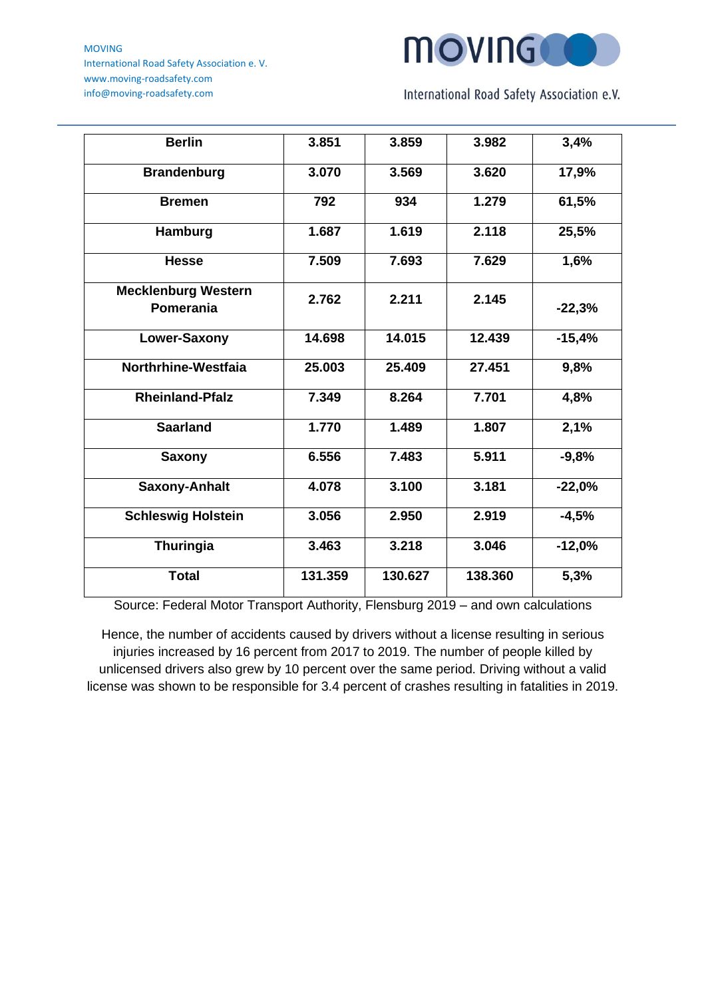MOVING International Road Safety Association e. V. www.moving-roadsafety.com info@moving-roadsafety.com



International Road Safety Association e.V.

| <b>Berlin</b>                                  | 3.851   | 3.859   | 3.982   | 3,4%     |
|------------------------------------------------|---------|---------|---------|----------|
| <b>Brandenburg</b>                             | 3.070   | 3.569   | 3.620   | 17,9%    |
| <b>Bremen</b>                                  | 792     | 934     | 1.279   | 61,5%    |
| Hamburg                                        | 1.687   | 1.619   | 2.118   | 25,5%    |
| <b>Hesse</b>                                   | 7.509   | 7.693   | 7.629   | 1,6%     |
| <b>Mecklenburg Western</b><br><b>Pomerania</b> | 2.762   | 2.211   | 2.145   | $-22,3%$ |
| Lower-Saxony                                   | 14.698  | 14.015  | 12.439  | $-15,4%$ |
| Northrhine-Westfaia                            | 25.003  | 25.409  | 27.451  | 9,8%     |
| <b>Rheinland-Pfalz</b>                         | 7.349   | 8.264   | 7.701   | 4,8%     |
| <b>Saarland</b>                                | 1.770   | 1.489   | 1.807   | 2,1%     |
| <b>Saxony</b>                                  | 6.556   | 7.483   | 5.911   | $-9,8%$  |
| <b>Saxony-Anhalt</b>                           | 4.078   | 3.100   | 3.181   | $-22,0%$ |
| <b>Schleswig Holstein</b>                      | 3.056   | 2.950   | 2.919   | $-4,5%$  |
| Thuringia                                      | 3.463   | 3.218   | 3.046   | $-12,0%$ |
| <b>Total</b>                                   | 131.359 | 130.627 | 138.360 | 5,3%     |

Source: Federal Motor Transport Authority, Flensburg 2019 – and own calculations

Hence, the number of accidents caused by drivers without a license resulting in serious injuries increased by 16 percent from 2017 to 2019. The number of people killed by unlicensed drivers also grew by 10 percent over the same period. Driving without a valid license was shown to be responsible for 3.4 percent of crashes resulting in fatalities in 2019.